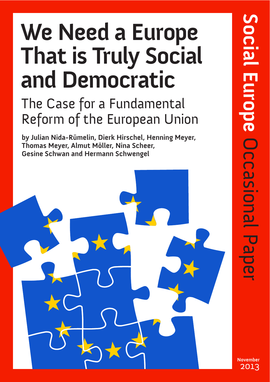# We Need a Europe **That is Truly Social and Democratic**

# The Case for a Fundamental Reform of the European Union

**by Julian Nida-Rümelin, Dierk Hirschel, Henning Meyer, Thomas Meyer, Almut Möller, Nina Scheer, Gesine Schwan and Hermann Schwengel**



**November** 2013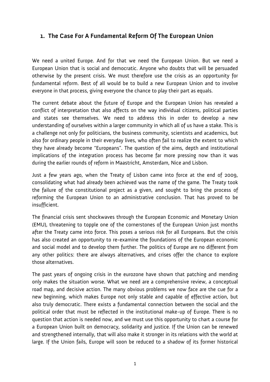# **1. The Case For A Fundamental Reform Of The European Union**

We need a united Europe. And for that we need the European Union. But we need a European Union that is social and democratic. Anyone who doubts that will be persuaded otherwise by the present crisis. We must therefore use the crisis as an opportunity for fundamental reform. Best of all would be to build a new European Union and to involve everyone in that process, giving everyone the chance to play their part as equals.

The current debate about the future of Europe and the European Union has revealed a conflict of interpretation that also affects on the way individual citizens, political parties and states see themselves. We need to address this in order to develop a new understanding of ourselves within a larger community in which all of us have a stake. This is a challenge not only for politicians, the business community, scientists and academics, but also for ordinary people in their everyday lives, who often fail to realize the extent to which they have already become "Europeans". The question of the aims, depth and institutional implications of the integration process has become far more pressing now than it was during the earlier rounds of reform in Maastricht, Amsterdam, Nice and Lisbon.

Just a few years ago, when the Treaty of Lisbon came into force at the end of 2009, consolidating what had already been achieved was the name of the game. The Treaty took the failure of the constitutional project as a given, and sought to bring the process of reforming the European Union to an administrative conclusion. That has proved to be insufficient.

The financial crisis sent shockwaves through the European Economic and Monetary Union (EMU), threatening to topple one of the cornerstones of the European Union just months after the Treaty came into force. This poses a serious risk for all Europeans. But the crisis has also created an opportunity to re-examine the foundations of the European economic and social model and to develop them further. The politics of Europe are no different from any other politics: there are always alternatives, and crises offer the chance to explore those alternatives.

The past years of ongoing crisis in the eurozone have shown that patching and mending only makes the situation worse. What we need are a comprehensive review, a conceptual road map, and decisive action. The many obvious problems we now face are the cue for a new beginning, which makes Europe not only stable and capable of effective action, but also truly democratic. There exists a fundamental connection between the social and the political order that must be reflected in the institutional make-up of Europe. There is no question that action is needed now, and we must use this opportunity to chart a course for a European Union built on democracy, solidarity and justice. If the Union can be renewed and strengthened internally, that will also make it stronger in its relations with the world at large. If the Union fails, Europe will soon be reduced to a shadow of its former historical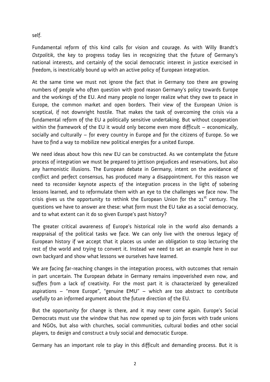self.

Fundamental reform of this kind calls for vision and courage. As with Willy Brandt's *Ostpolitik*, the key to progress today lies in recognizing that the future of Germany's national interests, and certainly of the social democratic interest in justice exercised in freedom, is inextricably bound up with an active policy of European integration.

At the same time we must not ignore the fact that in Germany too there are growing numbers of people who often question with good reason Germany's policy towards Europe and the workings of the EU. And many people no longer realize what they owe to peace in Europe, the common market and open borders. Their view of the European Union is sceptical, if not downright hostile. That makes the task of overcoming the crisis via a fundamental reform of the EU a politically sensitive undertaking. But without cooperation within the framework of the EU it would only become even more difficult – economically, socially and culturally – for every country in Europe and for the citizens of Europe. So we have to find a way to mobilize new political energies for a united Europe.

We need ideas about how this new EU can be constructed. As we contemplate the future process of integration we must be prepared to jettison prejudices and reservations, but also any harmonistic illusions. The European debate in Germany, intent on the avoidance of conflict and perfect consensus, has produced many a disappointment. For this reason we need to reconsider keynote aspects of the integration process in the light of sobering lessons learned, and to reformulate them with an eye to the challenges we face now. The crisis gives us the opportunity to rethink the European Union for the  $21^{st}$  century. The questions we have to answer are these: what form must the EU take as a social democracy, and to what extent can it do so given Europe's past history?

The greater critical awareness of Europe's historical role in the world also demands a reappraisal of the political tasks we face. We can only live with the onerous legacy of European history if we accept that it places us under an obligation to stop lecturing the rest of the world and trying to convert it. Instead we need to set an example here in our own backyard and show what lessons we ourselves have learned.

We are facing far-reaching changes in the integration process, with outcomes that remain in part uncertain. The European debate in Germany remains impoverished even now, and suffers from a lack of creativity. For the most part it is characterized by generalized aspirations – "more Europe", "genuine EMU" – which are too abstract to contribute usefully to an informed argument about the future direction of the EU.

But the opportunity for change is there, and it may never come again. Europe's Social Democrats must use the window that has now opened up to join forces with trade unions and NGOs, but also with churches, social communities, cultural bodies and other social players, to design and construct a truly social and democratic Europe.

Germany has an important role to play in this difficult and demanding process. But it is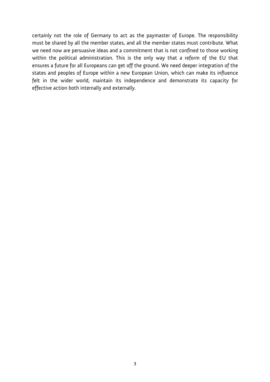certainly not the role of Germany to act as the paymaster of Europe. The responsibility must be shared by all the member states, and all the member states must contribute. What we need now are persuasive ideas and a commitment that is not confined to those working within the political administration. This is the only way that a reform of the EU that ensures a future for all Europeans can get off the ground. We need deeper integration of the states and peoples of Europe within a new European Union, which can make its influence felt in the wider world, maintain its independence and demonstrate its capacity for effective action both internally and externally.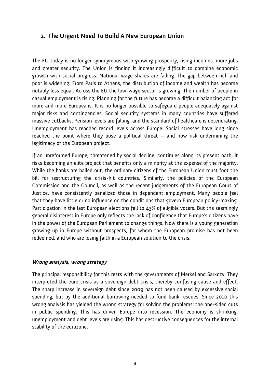### **2. The Urgent Need To Build A New European Union**

The EU today is no longer synonymous with growing prosperity, rising incomes, more jobs and greater security. The Union is finding it increasingly difficult to combine economic growth with social progress. National wage shares are falling. The gap between rich and poor is widening. From Paris to Athens, the distribution of income and wealth has become notably less equal. Across the EU the low-wage sector is growing. The number of people in casual employment is rising. Planning for the future has become a difficult balancing act for more and more Europeans. It is no longer possible to safeguard people adequately against major risks and contingencies. Social security systems in many countries have suffered massive cutbacks. Pension levels are falling, and the standard of healthcare is deteriorating. Unemployment has reached record levels across Europe. Social stresses have long since reached the point where they pose a political threat – and now risk undermining the legitimacy of the European project.

If an unreformed Europe, threatened by social decline, continues along its present path, it risks becoming an elite project that benefits only a minority at the expense of the majority. While the banks are bailed out, the ordinary citizens of the European Union must foot the bill for restructuring the crisis-hit countries. Similarly, the policies of the European Commission and the Council, as well as the recent judgements of the European Court of Justice, have consistently penalized those in dependent employment. Many people feel that they have little or no influence on the conditions that govern European policy-making. Participation in the last European elections fell to 43% of eligible voters. But the seemingly general disinterest in Europe only reflects the lack of confidence that Europe's citizens have in the power of the European Parliament to change things. Now there is a young generation growing up in Europe without prospects, for whom the European promise has not been redeemed, and who are losing faith in a European solution to the crisis.

#### **Wrong analysis, wrong strategy**

The principal responsibility for this rests with the governments of Merkel and Sarkozy. They interpreted the euro crisis as a sovereign debt crisis, thereby confusing cause and effect. The sharp increase in sovereign debt since 2009 has not been caused by excessive social spending, but by the additional borrowing needed to fund bank rescues. Since 2010 this wrong analysis has yielded the wrong strategy for solving the problems: the one-sided cuts in public spending. This has driven Europe into recession. The economy is shrinking, unemployment and debt levels are rising. This has destructive consequences for the internal stability of the eurozone.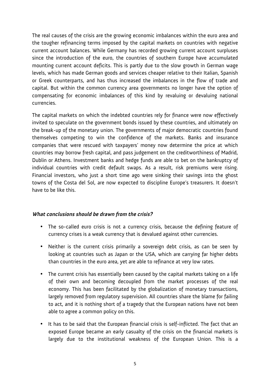The real causes of the crisis are the growing economic imbalances within the euro area and the tougher refinancing terms imposed by the capital markets on countries with negative current account balances. While Germany has recorded growing current account surpluses since the introduction of the euro, the countries of southern Europe have accumulated mounting current account deficits. This is partly due to the slow growth in German wage levels, which has made German goods and services cheaper relative to their Italian, Spanish or Greek counterparts, and has thus increased the imbalances in the flow of trade and capital. But within the common currency area governments no longer have the option of compensating for economic imbalances of this kind by revaluing or devaluing national currencies.

The capital markets on which the indebted countries rely for finance were now effectively invited to speculate on the government bonds issued by these countries, and ultimately on the break-up of the monetary union. The governments of major democratic countries found themselves competing to win the confidence of the markets. Banks and insurance companies that were rescued with taxpayers' money now determine the price at which countries may borrow fresh capital, and pass judgement on the creditworthiness of Madrid, Dublin or Athens. Investment banks and hedge funds are able to bet on the bankruptcy of individual countries with credit default swaps. As a result, risk premiums were rising. Financial investors, who just a short time ago were sinking their savings into the ghost towns of the Costa del Sol, are now expected to discipline Europe's treasurers. It doesn't have to be like this.

#### **What conclusions should be drawn from the crisis?**

- The so-called euro crisis is not a currency crisis, because the defining feature of currency crises is a weak currency that is devalued against other currencies.
- Neither is the current crisis primarily a sovereign debt crisis, as can be seen by looking at countries such as Japan or the USA, which are carrying far higher debts than countries in the euro area, yet are able to refinance at very low rates.
- The current crisis has essentially been caused by the capital markets taking on a life of their own and becoming decoupled from the market processes of the real economy. This has been facilitated by the globalization of monetary transactions, largely removed from regulatory supervision. All countries share the blame for failing to act, and it is nothing short of a tragedy that the European nations have not been able to agree a common policy on this.
- It has to be said that the European financial crisis is self-inflicted. The fact that an exposed Europe became an early casualty of the crisis on the financial markets is largely due to the institutional weakness of the European Union. This is a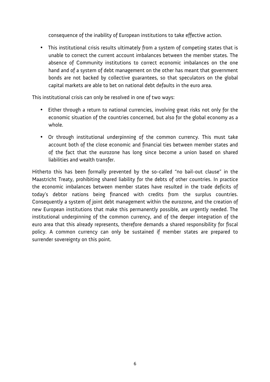consequence of the inability of European institutions to take effective action.

• This institutional crisis results ultimately from a system of competing states that is unable to correct the current account imbalances between the member states. The absence of Community institutions to correct economic imbalances on the one hand and of a system of debt management on the other has meant that government bonds are not backed by collective guarantees, so that speculators on the global capital markets are able to bet on national debt defaults in the euro area.

This institutional crisis can only be resolved in one of two ways:

- Either through a return to national currencies, involving great risks not only for the economic situation of the countries concerned, but also for the global economy as a whole.
- Or through institutional underpinning of the common currency. This must take account both of the close economic and financial ties between member states and of the fact that the eurozone has long since become a union based on shared liabilities and wealth transfer.

Hitherto this has been formally prevented by the so-called "no bail-out clause" in the Maastricht Treaty, prohibiting shared liability for the debts of other countries. In practice the economic imbalances between member states have resulted in the trade deficits of today's debtor nations being financed with credits from the surplus countries. Consequently a system of joint debt management within the eurozone, and the creation of new European institutions that make this permanently possible, are urgently needed. The institutional underpinning of the common currency, and of the deeper integration of the euro area that this already represents, therefore demands a shared responsibility for fiscal policy. A common currency can only be sustained if member states are prepared to surrender sovereignty on this point.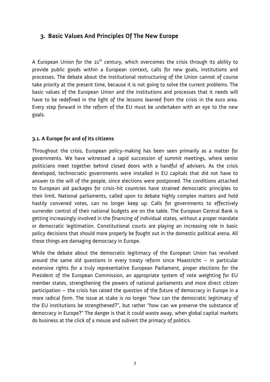# **3. Basic Values And Principles Of The New Europe**

A European Union for the  $21^{st}$  century, which overcomes the crisis through its ability to provide public goods within a European context, calls for new goals, institutions and processes. The debate about the institutional restructuring of the Union cannot of course take priority at the present time, because it is not going to solve the current problems. The basic values of the European Union and the institutions and processes that it needs will have to be redefined in the light of the lessons learned from the crisis in the euro area. Every step forward in the reform of the EU must be undertaken with an eye to the new goals.

#### **3.1. A Europe for and of its citizens**

Throughout the crisis, European policy-making has been seen primarily as a matter for governments. We have witnessed a rapid succession of summit meetings, where senior politicians meet together behind closed doors with a handful of advisers. As the crisis developed, technocratic governments were installed in EU capitals that did not have to answer to the will of the people, since elections were postponed. The conditions attached to European aid packages for crisis-hit countries have strained democratic principles to their limit. National parliaments, called upon to debate highly complex matters and hold hastily convened votes, can no longer keep up. Calls for governments to effectively surrender control of their national budgets are on the table. The European Central Bank is getting increasingly involved in the financing of individual states, without a proper mandate or democratic legitimation. Constitutional courts are playing an increasing role in basic policy decisions that should more properly be fought out in the domestic political arena. All these things are damaging democracy in Europe.

While the debate about the democratic legitimacy of the European Union has revolved around the same old questions in every treaty reform since Maastricht – in particular extensive rights for a truly representative European Parliament, proper elections for the President of the European Commission, an appropriate system of vote weighting for EU member states, strengthening the powers of national parliaments and more direct citizen participation – the crisis has raised the question of the future of democracy in Europe in a more radical form. The issue at stake is no longer "how can the democratic legitimacy of the EU institutions be strengthened?", but rather "how can we preserve the substance of democracy in Europe?" The danger is that it could waste away, when global capital markets do business at the click of a mouse and subvert the primacy of politics.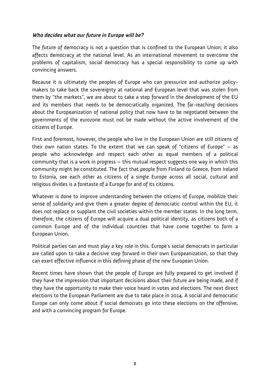#### **Who decides what our future in Europe will be?**

The future of democracy is not a question that is confined to the European Union; it also affects democracy at the national level. As an international movement to overcome the problems of capitalism, social democracy has a special responsibility to come up with convincing answers.

Because it is ultimately the peoples of Europe who can pressurize and authorize policymakers to take back the sovereignty at national and European level that was stolen from them by "the markets", we are about to take a step forward in the development of the EU and its members that needs to be democratically organized. The far-reaching decisions about the Europeanization of national policy that now have to be negotiated between the governments of the eurozone must not be made without the active involvement of the citizens of Europe.

First and foremost, however, the people who live in the European Union are still citizens of their own nation states. To the extent that we can speak of "citizens of Europe" – as people who acknowledge and respect each other as equal members of a political community that is a work in progress – this mutual respect suggests one way in which this community might be constituted. The fact that people from Finland to Greece, from Ireland to Estonia, see each other as citizens of a single Europe across all social, cultural and religious divides is a foretaste of a Europe for and of its citizens.

Whatever is done to improve understanding between the citizens of Europe, mobilize their sense of solidarity and give them a greater degree of democratic control within the EU, it does not replace or supplant the civil societies within the member states. In the long term, therefore, the citizens of Europe will acquire a dual political identity, as citizens both of a common Europe and of the individual countries that have come together to form a European Union.

Political parties can and must play a key role in this. Europe's social democrats in particular are called upon to take a decisive step forward in their own Europeanization, so that they can exert effective influence in this defining phase of the new European Union.

Recent times have shown that the people of Europe are fully prepared to get involved if they have the impression that important decisions about their future are being made, and if they have the opportunity to make their voice heard in votes and elections. The next direct elections to the European Parliament are due to take place in 2014. A social and democratic Europe can only come about if social democrats go into these elections on the offensive, and with a convincing program for Europe.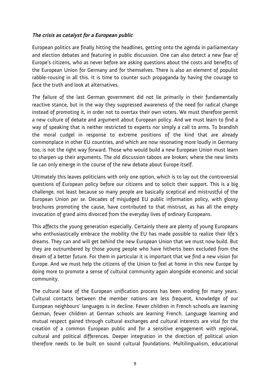#### **The crisis as catalyst for a European public**

European politics are finally hitting the headlines, getting onto the agenda in parliamentary and election debates and featuring in public discussion. One can also detect a new fear of Europe's citizens, who as never before are asking questions about the costs and benefits of the European Union for Germany and for themselves. There is also an element of populist rabble-rousing in all this. It is time to counter such propaganda by having the courage to face the truth and look at alternatives.

The failure of the last German government did not lie primarily in their fundamentally reactive stance, but in the way they suppressed awareness of the need for radical change instead of promoting it, in order not to overtax their own voters. We must therefore permit a new culture of debate and argument about European policy. And we must learn to find a way of speaking that is neither restricted to experts nor simply a call to arms. To brandish the moral cudgel in response to extreme positions of the kind that are already commonplace in other EU countries, and which are now resonating more loudly in Germany too, is not the right way forward. Those who would build a new European Union must learn to sharpen up their arguments. The old discussion taboos are broken; where the new limits lie can only emerge in the course of the new debate about Europe itself.

Ultimately this leaves politicians with only one option, which is to lay out the controversial questions of European policy before our citizens and to solicit their support. This is a big challenge, not least because so many people are basically sceptical and mistrustful of the European Union *per se*. Decades of misjudged EU public information policy, with glossy brochures promoting the cause, have contributed to that mistrust, as has all the empty invocation of grand aims divorced from the everyday lives of ordinary Europeans.

This affects the young generation especially. Certainly there are plenty of young Europeans who enthusiastically embrace the mobility the EU has made possible to realize their life's dreams. They can and will get behind the new European Union that we must now build. But they are outnumbered by those young people who have hitherto been excluded from the dream of a better future. For them in particular it is important that we find a new vision for Europe. And we must help the citizens of the Union to feel at home in this new Europe by doing more to promote a sense of cultural community again alongside economic and social community.

The cultural base of the European unification process has been eroding for many years. Cultural contacts between the member nations are less frequent, knowledge of our European neighbours' languages is in decline. Fewer children in French schools are learning German, fewer children at German schools are learning French. Language learning and mutual respect gained through cultural exchanges and cultural interests are vital for the creation of a common European public and for a sensitive engagement with regional, cultural and political differences. Deeper integration in the direction of political union therefore needs to be built on sound cultural foundations. Multilingualism, educational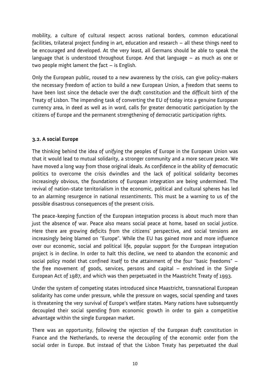mobility, a culture of cultural respect across national borders, common educational facilities, trilateral project funding in art, education and research – all these things need to be encouraged and developed. At the very least, all Germans should be able to speak the language that is understood throughout Europe. And that language – as much as one or two people might lament the fact – is English.

Only the European public, roused to a new awareness by the crisis, can give policy-makers the necessary freedom of action to build a new European Union, a freedom that seems to have been lost since the debacle over the draft constitution and the difficult birth of the Treaty of Lisbon. The impending task of converting the EU of today into a genuine European currency area, in deed as well as in word, calls for greater democratic participation by the citizens of Europe and the permanent strengthening of democratic participation rights.

#### **3.2. A social Europe**

The thinking behind the idea of unifying the peoples of Europe in the European Union was that it would lead to mutual solidarity, a stronger community and a more secure peace. We have moved a long way from those original ideals. As confidence in the ability of democratic politics to overcome the crisis dwindles and the lack of political solidarity becomes increasingly obvious, the foundations of European integration are being undermined. The revival of nation-state territorialism in the economic, political and cultural spheres has led to an alarming resurgence in national *ressentiments*. This must be a warning to us of the possible disastrous consequences of the present crisis.

The peace-keeping function of the European integration process is about much more than just the absence of war. Peace also means social peace at home, based on social justice. Here there are growing deficits from the citizens' perspective, and social tensions are increasingly being blamed on "Europe". While the EU has gained more and more influence over our economic, social and political life, popular support for the European integration project is in decline. In order to halt this decline, we need to abandon the economic and social policy model that confined itself to the attainment of the four "basic freedoms" – the free movement of goods, services, persons and capital – enshrined in the Single European Act of 1987, and which was then perpetuated in the Maastricht Treaty of 1993.

Under the system of competing states introduced since Maastricht, transnational European solidarity has come under pressure, while the pressure on wages, social spending and taxes is threatening the very survival of Europe's welfare states. Many nations have subsequently decoupled their social spending from economic growth in order to gain a competitive advantage within the single European market.

There was an opportunity, following the rejection of the European draft constitution in France and the Netherlands, to reverse the decoupling of the economic order from the social order in Europe. But instead of that the Lisbon Treaty has perpetuated the dual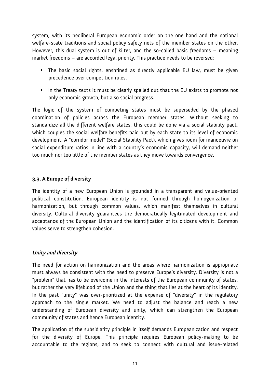system, with its neoliberal European economic order on the one hand and the national welfare-state traditions and social policy safety nets of the member states on the other. However, this dual system is out of kilter, and the so-called basic freedoms – meaning market freedoms – are accorded legal priority. This practice needs to be reversed:

- The basic social rights, enshrined as directly applicable EU law, must be given precedence over competition rules.
- In the Treaty texts it must be clearly spelled out that the EU exists to promote not only economic growth, but also social progress.

The logic of the system of competing states must be superseded by the phased coordination of policies across the European member states. Without seeking to standardize all the different welfare states, this could be done via a social stability pact, which couples the social welfare benefits paid out by each state to its level of economic development. A "corridor model" (Social Stability Pact), which gives room for manoeuvre on social expenditure ratios in line with a country's economic capacity, will demand neither too much nor too little of the member states as they move towards convergence.

#### **3.3. A Europe of diversity**

The identity of a new European Union is grounded in a transparent and value-oriented political constitution. European identity is not formed through homogenization or harmonization, but through common values, which manifest themselves in cultural diversity. Cultural diversity guarantees the democratically legitimated development and acceptance of the European Union and the identification of its citizens with it. Common values serve to strengthen cohesion.

### **Unity and diversity**

The need for action on harmonization and the areas where harmonization is appropriate must always be consistent with the need to preserve Europe's diversity. Diversity is not a "problem" that has to be overcome in the interests of the European community of states, but rather the very lifeblood of the Union and the thing that lies at the heart of its identity. In the past "unity" was over-prioritized at the expense of "diversity" in the regulatory approach to the single market. We need to adjust the balance and reach a new understanding of European diversity and unity, which can strengthen the European community of states and hence European identity.

The application of the subsidiarity principle in itself demands Europeanization and respect for the diversity of Europe. This principle requires European policy-making to be accountable to the regions, and to seek to connect with cultural and issue-related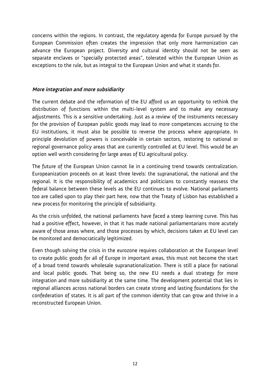concerns within the regions. In contrast, the regulatory agenda for Europe pursued by the European Commission often creates the impression that only more harmonization can advance the European project. Diversity and cultural identity should not be seen as separate enclaves or "specially protected areas", tolerated within the European Union as exceptions to the rule, but as integral to the European Union and what it stands for.

#### **More integration and more subsidiarity**

The current debate and the reformation of the EU afford us an opportunity to rethink the distribution of functions within the multi-level system and to make any necessary adjustments. This is a sensitive undertaking. Just as a review of the instruments necessary for the provision of European public goods may lead to *more* competences accruing to the EU institutions, it must also be possible to reverse the process where appropriate. In principle devolution of powers is conceivable in certain sectors, restoring to national or regional governance policy areas that are currently controlled at EU level. This would be an option well worth considering for large areas of EU agricultural policy.

The future of the European Union cannot lie in a continuing trend towards centralization. Europeanization proceeds on at least three levels: the supranational, the national and the regional. It is the responsibility of academics and politicians to constantly reassess the federal balance between these levels as the EU continues to evolve. National parliaments too are called upon to play their part here, now that the Treaty of Lisbon has established a new process for monitoring the principle of subsidiarity.

As the crisis unfolded, the national parliaments have faced a steep learning curve. This has had a positive effect, however, in that it has made national parliamentarians more acutely aware of those areas where, and those processes by which, decisions taken at EU level can be monitored and democratically legitimized.

Even though solving the crisis in the eurozone requires collaboration at the European level to create public goods for all of Europe in important areas, this must not become the start of a broad trend towards wholesale supranationalization. There is still a place for national and local public goods. That being so, the new EU needs a dual strategy for more integration and more subsidiarity at the same time. The development potential that lies in regional alliances across national borders can create strong and lasting foundations for the confederation of states. It is all part of the common identity that can grow and thrive in a reconstructed European Union.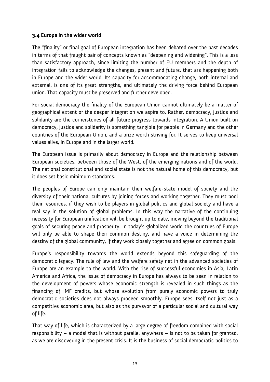#### **3.4 Europe in the wider world**

The "finality" or final goal of European integration has been debated over the past decades in terms of that fraught pair of concepts known as "deepening and widening". This is a less than satisfactory approach, since limiting the number of EU members and the depth of integration fails to acknowledge the changes, present and future, that are happening both in Europe and the wider world. Its capacity for accommodating change, both internal and external, is one of its great strengths, and ultimately the driving force behind European union. That capacity must be preserved and further developed.

For social democracy the finality of the European Union cannot ultimately be a matter of geographical extent or the deeper integration we aspire to. Rather, democracy, justice and solidarity are the cornerstones of all future progress towards integration. A Union built on democracy, justice and solidarity is something tangible for people in Germany and the other countries of the European Union, and a prize worth striving for. It serves to keep universal values alive, in Europe and in the larger world.

The European issue is primarily about democracy in Europe and the relationship between European societies, between those of the West, of the emerging nations and of the world. The national constitutional and social state is not the natural home of this democracy, but it does set basic minimum standards.

The peoples of Europe can only maintain their welfare-state model of society and the diversity of their national cultures by joining forces and working together. They must pool their resources, if they wish to be players in global politics and global society and have a real say in the solution of global problems. In this way the narrative of the continuing necessity for European unification will be brought up to date, moving beyond the traditional goals of securing peace and prosperity. In today's globalized world the countries of Europe will only be able to shape their common destiny, and have a voice in determining the destiny of the global community, if they work closely together and agree on common goals.

Europe's responsibility towards the world extends beyond this safeguarding of the democratic legacy. The rule of law and the welfare safety net in the advanced societies of Europe are an example to the world. With the rise of successful economies in Asia, Latin America and Africa, the issue of democracy in Europe has always to be seen in relation to the development of powers whose economic strength is revealed in such things as the financing of IMF credits, but whose evolution from purely economic powers to truly democratic societies does not always proceed smoothly. Europe sees itself not just as a competitive economic area, but also as the purveyor of a particular social and cultural way of life.

That way of life, which is characterized by a large degree of freedom combined with social responsibility – a model that is without parallel anywhere – is not to be taken for granted, as we are discovering in the present crisis. It is the business of social democratic politics to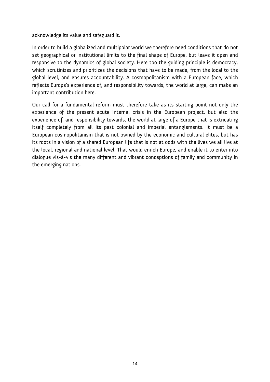acknowledge its value and safeguard it.

In order to build a globalized and multipolar world we therefore need conditions that do not set geographical or institutional limits to the final shape of Europe, but leave it open and responsive to the dynamics of global society. Here too the guiding principle is democracy, which scrutinizes and prioritizes the decisions that have to be made, from the local to the global level, and ensures accountability. A cosmopolitanism with a European face, which reflects Europe's experience of, and responsibility towards, the world at large, can make an important contribution here.

Our call for a fundamental reform must therefore take as its starting point not only the experience of the present acute internal crisis in the European project, but also the experience of, and responsibility towards, the world at large of a Europe that is extricating itself completely from all its past colonial and imperial entanglements. It must be a European cosmopolitanism that is not owned by the economic and cultural elites, but has its roots in a vision of a shared European life that is not at odds with the lives we all live at the local, regional and national level. That would enrich Europe, and enable it to enter into dialogue vis-à-vis the many different and vibrant conceptions of family and community in the emerging nations.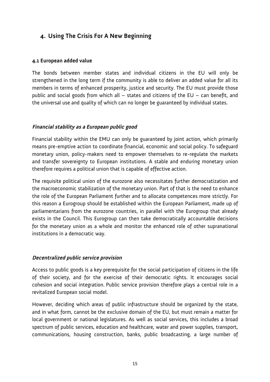# **4. Using The Crisis For A New Beginning**

#### **4.1 European added value**

The bonds between member states and individual citizens in the EU will only be strengthened in the long term if the community is able to deliver an added value for all its members in terms of enhanced prosperity, justice and security. The EU must provide those public and social goods from which all – states and citizens of the EU – can benefit, and the universal use and quality of which can no longer be guaranteed by individual states.

#### **Financial stability as a European public good**

Financial stability within the EMU can only be guaranteed by joint action, which primarily means pre-emptive action to coordinate financial, economic and social policy. To safeguard monetary union, policy-makers need to empower themselves to re-regulate the markets and transfer sovereignty to European institutions. A stable and enduring monetary union therefore requires a political union that is capable of effective action.

The requisite political union of the eurozone also necessitates further democratization and the macroeconomic stabilization of the monetary union. Part of that is the need to enhance the role of the European Parliament further and to allocate competences more strictly. For this reason a Eurogroup should be established within the European Parliament, made up of parliamentarians from the eurozone countries, in parallel with the Eurogroup that already exists in the Council. This Eurogroup can then take democratically accountable decisions for the monetary union as a whole and monitor the enhanced role of other supranational institutions in a democratic way.

#### **Decentralized public service provision**

Access to public goods is a key prerequisite for the social participation of citizens in the life of their society, and for the exercise of their democratic rights. It encourages social cohesion and social integration. Public service provision therefore plays a central role in a revitalized European social model.

However, deciding which areas of public infrastructure should be organized by the state, and in what form, cannot be the exclusive domain of the EU, but must remain a matter for local government or national legislatures. As well as social services, this includes a broad spectrum of public services, education and healthcare, water and power supplies, transport, communications, housing construction, banks, public broadcasting, a large number of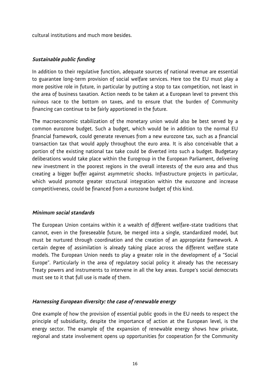cultural institutions and much more besides.

#### **Sustainable public funding**

In addition to their regulative function, adequate sources of national revenue are essential to guarantee long-term provision of social welfare services. Here too the EU must play a more positive role in future, in particular by putting a stop to tax competition, not least in the area of business taxation. Action needs to be taken at a European level to prevent this ruinous race to the bottom on taxes, and to ensure that the burden of Community financing can continue to be fairly apportioned in the future.

The macroeconomic stabilization of the monetary union would also be best served by a common eurozone budget. Such a budget, which would be in addition to the normal EU financial framework, could generate revenues from a new eurozone tax, such as a financial transaction tax that would apply throughout the euro area. It is also conceivable that a portion of the existing national tax take could be diverted into such a budget. Budgetary deliberations would take place within the Eurogroup in the European Parliament, delivering new investment in the poorest regions in the overall interests of the euro area and thus creating a bigger buffer against asymmetric shocks. Infrastructure projects in particular, which would promote greater structural integration within the eurozone and increase competitiveness, could be financed from a eurozone budget of this kind.

#### **Minimum social standards**

The European Union contains within it a wealth of different welfare-state traditions that cannot, even in the foreseeable future, be merged into a single, standardized model, but must be nurtured through coordination and the creation of an appropriate framework. A certain degree of assimilation is already taking place across the different welfare state models. The European Union needs to play a greater role in the development of a "Social Europe". Particularly in the area of regulatory social policy it already has the necessary Treaty powers and instruments to intervene in all the key areas. Europe's social democrats must see to it that full use is made of them.

#### **Harnessing European diversity: the case of renewable energy**

One example of how the provision of essential public goods in the EU needs to respect the principle of subsidiarity, despite the importance of action at the European level, is the energy sector. The example of the expansion of renewable energy shows how private, regional and state involvement opens up opportunities for cooperation for the Community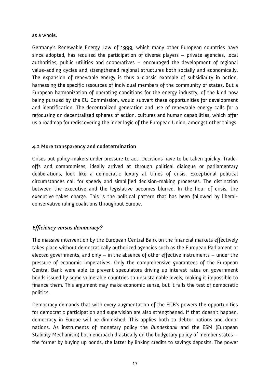as a whole.

Germany's Renewable Energy Law of 1999, which many other European countries have since adopted, has required the participation of diverse players – private agencies, local authorities, public utilities and cooperatives – encouraged the development of regional value-adding cycles and strengthened regional structures both socially and economically. The expansion of renewable energy is thus a classic example of subsidiarity in action, harnessing the specific resources of individual members of the community of states. But a European harmonization of operating conditions for the energy industry, of the kind now being pursued by the EU Commission, would subvert these opportunities for development and identification. The decentralized generation and use of renewable energy calls for a refocusing on decentralized spheres of action, cultures and human capabilities, which offer us a roadmap for rediscovering the inner logic of the European Union, amongst other things.

#### **4.2 More transparency and codetermination**

Crises put policy-makers under pressure to act. Decisions have to be taken quickly. Tradeoffs and compromises, ideally arrived at through political dialogue or parliamentary deliberations, look like a democratic luxury at times of crisis. Exceptional political circumstances call for speedy and simplified decision-making processes. The distinction between the executive and the legislative becomes blurred. In the hour of crisis, the executive takes charge. This is the political pattern that has been followed by liberalconservative ruling coalitions throughout Europe.

#### **Efficiency versus democracy?**

The massive intervention by the European Central Bank on the financial markets effectively takes place without democratically authorized agencies such as the European Parliament or elected governments, and only – in the absence of other effective instruments – under the pressure of economic imperatives. Only the comprehensive guarantees of the European Central Bank were able to prevent speculators driving up interest rates on government bonds issued by some vulnerable countries to unsustainable levels, making it impossible to finance them. This argument may make economic sense, but it fails the test of democratic politics.

Democracy demands that with every augmentation of the ECB's powers the opportunities for democratic participation and supervision are also strengthened. If that doesn't happen, democracy in Europe will be diminished. This applies both to debtor nations and donor nations. As instruments of monetary policy the *Bundesbank* and the ESM (European Stability Mechanism) both encroach drastically on the budgetary policy of member states – the former by buying up bonds, the latter by linking credits to savings deposits. The power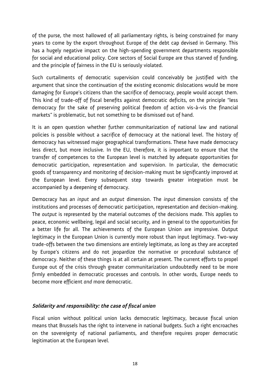of the purse, the most hallowed of all parliamentary rights, is being constrained for many years to come by the export throughout Europe of the debt cap devised in Germany. This has a hugely negative impact on the high-spending government departments responsible for social and educational policy. Core sectors of Social Europe are thus starved of funding, and the principle of fairness in the EU is seriously violated.

Such curtailments of democratic supervision could conceivably be justified with the argument that since the continuation of the existing economic dislocations would be more damaging for Europe's citizens than the sacrifice of democracy, people would accept them. This kind of trade-off of fiscal benefits against democratic deficits, on the principle "less democracy for the sake of preserving political freedom of action vis-à-vis the financial markets" is problematic, but not something to be dismissed out of hand.

It is an open question whether further communitarization of national law and national policies is possible without a sacrifice of democracy at the national level. The history of democracy has witnessed major geographical transformations. These have made democracy less direct, but more inclusive. In the EU, therefore, it is important to ensure that the transfer of competences to the European level is matched by adequate opportunities for democratic participation, representation and supervision. In particular, the democratic goods of transparency and monitoring of decision-making must be significantly improved at the European level. Every subsequent step towards greater integration must be accompanied by a deepening of democracy.

Democracy has an *input* and an *output* dimension. The *input* dimension consists of the institutions and processes of democratic participation, representation and decision-making. The *output* is represented by the material outcomes of the decisions made. This applies to peace, economic wellbeing, legal and social security, and in general to the opportunities for a better life for all. The achievements of the European Union are impressive. Output legitimacy in the European Union is currently more robust than input legitimacy. Two-way trade-offs between the two dimensions are entirely legitimate, as long as they are accepted by Europe's citizens and do not jeopardize the normative or procedural substance of democracy. Neither of these things is at all certain at present. The current efforts to propel Europe out of the crisis through greater communitarization undoubtedly need to be more firmly embedded in democratic processes and controls. In other words, Europe needs to become more efficient *and* more democratic.

#### **Solidarity and responsibility: the case of fiscal union**

Fiscal union without political union lacks democratic legitimacy, because fiscal union means that Brussels has the right to intervene in national budgets. Such a right encroaches on the sovereignty of national parliaments, and therefore requires proper democratic legitimation at the European level.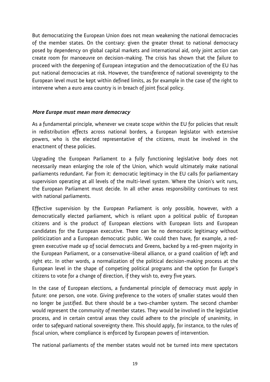But democratizing the European Union does not mean weakening the national democracies of the member states. On the contrary: given the greater threat to national democracy posed by dependency on global capital markets and international aid, only joint action can create room for manoeuvre on decision-making. The crisis has shown that the failure to proceed with the deepening of European integration and the democratization of the EU has put national democracies at risk. However, the transference of national sovereignty to the European level must be kept within defined limits, as for example in the case of the right to intervene when a euro area country is in breach of joint fiscal policy.

#### **More Europe must mean more democracy**

As a fundamental principle, whenever we create scope within the EU for policies that result in redistribution effects across national borders, a European legislator with extensive powers, who is the elected representative of the citizens, must be involved in the enactment of these policies.

Upgrading the European Parliament to a fully functioning legislative body does not necessarily mean enlarging the role of the Union, which would ultimately make national parliaments redundant. Far from it: democratic legitimacy in the EU calls for parliamentary supervision operating at all levels of the multi-level system. Where the Union's writ runs, the European Parliament must decide. In all other areas responsibility continues to rest with national parliaments.

Effective supervision by the European Parliament is only possible, however, with a democratically elected parliament, which is reliant upon a political public of European citizens and is the product of European elections with European lists and European candidates for the European executive. There can be no democratic legitimacy without politicization and a European democratic public. We could then have, for example, a redgreen executive made up of social democrats and Greens, backed by a red-green majority in the European Parliament, or a conservative-liberal alliance, or a grand coalition of left and right etc. In other words, a normalization of the political decision-making process at the European level in the shape of competing political programs and the option for Europe's citizens to vote for a change of direction, if they wish to, every five years.

In the case of European elections, a fundamental principle of democracy must apply in future: one person, one vote. Giving preference to the voters of smaller states would then no longer be justified. But there should be a two-chamber system. The second chamber would represent the community of member states. They would be involved in the legislative process, and in certain central areas they could adhere to the principle of unanimity, in order to safeguard national sovereignty there. This should apply, for instance, to the rules of fiscal union, where compliance is enforced by European powers of intervention.

The national parliaments of the member states would not be turned into mere spectators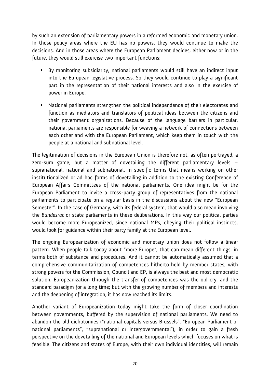by such an extension of parliamentary powers in a reformed economic and monetary union. In those policy areas where the EU has no powers, they would continue to make the decisions. And in those areas where the European Parliament decides, either now or in the future, they would still exercise two important functions:

- By monitoring subsidiarity, national parliaments would still have an indirect input into the European legislative process. So they would continue to play a significant part in the representation of their national interests and also in the exercise of power in Europe.
- National parliaments strengthen the political independence of their electorates and function as mediators and translators of political ideas between the citizens and their government organizations. Because of the language barriers in particular, national parliaments are responsible for weaving a network of connections between each other and with the European Parliament, which keep them in touch with the people at a national and subnational level.

The legitimation of decisions in the European Union is therefore not, as often portrayed, a zero-sum game, but a matter of dovetailing the different parliamentary levels – supranational, national and subnational. In specific terms that means working on other institutionalized or ad hoc forms of dovetailing in addition to the existing Conference of European Affairs Committees of the national parliaments. One idea might be for the European Parliament to invite a cross-party group of representatives from the national parliaments to participate on a regular basis in the discussions about the new "European Semester". In the case of Germany, with its federal system, that would also mean involving the *Bundesrat* or state parliaments in these deliberations. In this way our political parties would become more Europeanized, since national MPs, obeying their political instincts, would look for guidance within their party family at the European level.

The ongoing Europeanization of economic and monetary union does not follow a linear pattern. When people talk today about "more Europe", that can mean different things, in terms both of substance and procedures. And it cannot be automatically assumed that a comprehensive communitarization of competences hitherto held by member states, with strong powers for the Commission, Council and EP, is always the best and most democratic solution. Europeanization through the transfer of competences was the old cry, and the standard paradigm for a long time; but with the growing number of members and interests and the deepening of integration, it has now reached its limits.

Another variant of Europeanization today might take the form of closer coordination between governments, buffered by the supervision of national parliaments. We need to abandon the old dichotomies ("national capitals versus Brussels", "European Parliament or national parliaments", "supranational or intergovernmental"), in order to gain a fresh perspective on the dovetailing of the national and European levels which focuses on what is feasible. The citizens and states of Europe, with their own individual identities, will remain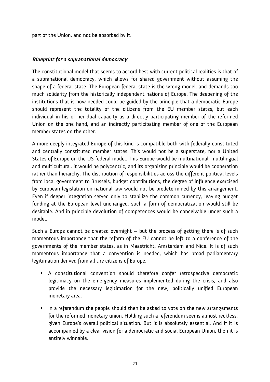part of the Union, and not be absorbed by it.

#### **Blueprint for a supranational democracy**

The constitutional model that seems to accord best with current political realities is that of a supranational democracy, which allows for shared government without assuming the shape of a federal state. The European federal state is the wrong model, and demands too much solidarity from the historically independent nations of Europe. The deepening of the institutions that is now needed could be guided by the principle that a democratic Europe should represent the totality of the citizens from the EU member states, but each individual in his or her dual capacity as a directly participating member of the reformed Union on the one hand, and an indirectly participating member of one of the European member states on the other.

A more deeply integrated Europe of this kind is compatible both with federally constituted and centrally constituted member states. This would not be a superstate, nor a United States of Europe on the US federal model. This Europe would be multinational, multilingual and multicultural, it would be polycentric, and its organizing principle would be cooperation rather than hierarchy. The distribution of responsibilities across the different political levels from local government to Brussels, budget contributions, the degree of influence exercised by European legislation on national law would not be predetermined by this arrangement. Even if deeper integration served only to stabilize the common currency, leaving budget funding at the European level unchanged, such a form of democratization would still be desirable. And in principle devolution of competences would be conceivable under such a model.

Such a Europe cannot be created overnight – but the process of getting there is of such momentous importance that the reform of the EU cannot be left to a conference of the governments of the member states, as in Maastricht, Amsterdam and Nice. It is of such momentous importance that a convention is needed, which has broad parliamentary legitimation derived from all the citizens of Europe.

- A constitutional convention should therefore confer retrospective democratic legitimacy on the emergency measures implemented during the crisis, and also provide the necessary legitimation for the new, politically unified European monetary area.
- In a referendum the people should then be asked to vote on the new arrangements for the reformed monetary union. Holding such a referendum seems almost reckless, given Europe's overall political situation. But it is absolutely essential. And if it is accompanied by a clear vision for a democratic and social European Union, then it is entirely winnable.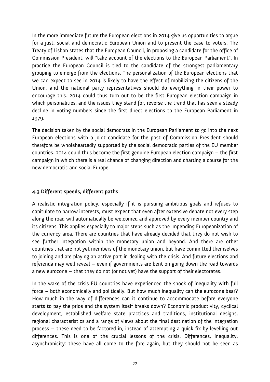In the more immediate future the European elections in 2014 give us opportunities to argue for a just, social and democratic European Union and to present the case to voters. The Treaty of Lisbon states that the European Council, in proposing a candidate for the office of Commission President, will "take account of the elections to the European Parliament". In practice the European Council is tied to the candidate of the strongest parliamentary grouping to emerge from the elections. The personalization of the European elections that we can expect to see in 2014 is likely to have the effect of mobilizing the citizens of the Union, and the national party representatives should do everything in their power to encourage this. 2014 could thus turn out to be the first European election campaign in which personalities, and the issues they stand for, reverse the trend that has seen a steady decline in voting numbers since the first direct elections to the European Parliament in 1979.

The decision taken by the social democrats in the European Parliament to go into the next European elections with a joint candidate for the post of Commission President should therefore be wholeheartedly supported by the social democratic parties of the EU member countries. 2014 could thus become the first genuine European election campaign – the first campaign in which there is a real chance of changing direction and charting a course for the new democratic and social Europe.

#### **4.3 Different speeds, different paths**

A realistic integration policy, especially if it is pursuing ambitious goals and refuses to capitulate to narrow interests, must expect that even after extensive debate not every step along the road will automatically be welcomed and approved by every member country and its citizens. This applies especially to major steps such as the impending Europeanization of the currency area. There are countries that have already decided that they do not wish to see further integration within the monetary union and beyond. And there are other countries that are not yet members of the monetary union, but have committed themselves to joining and are playing an active part in dealing with the crisis. And future elections and referenda may well reveal – even if governments are bent on going down the road towards a new eurozone – that they do not (or not yet) have the support of their electorates.

In the wake of the crisis EU countries have experienced the shock of inequality with full force – both economically and politically. But how much inequality can the eurozone bear? How much in the way of differences can it continue to accommodate before everyone starts to pay the price and the system itself breaks down? Economic productivity, cyclical development, established welfare state practices and traditions, institutional designs, regional characteristics and a range of views about the final destination of the integration process – these need to be factored in, instead of attempting a quick fix by levelling out differences. This is one of the crucial lessons of the crisis. Differences, inequality, asynchronicity: these have all come to the fore again, but they should not be seen as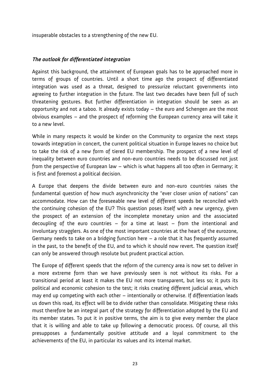insuperable obstacles to a strengthening of the new EU.

#### **The outlook for differentiated integration**

Against this background, the attainment of European goals has to be approached more in terms of groups of countries. Until a short time ago the prospect of differentiated integration was used as a threat, designed to pressurize reluctant governments into agreeing to further integration in the future. The last two decades have been full of such threatening gestures. But further differentiation in integration should be seen as an opportunity and not a taboo. It already exists today – the euro and Schengen are the most obvious examples – and the prospect of reforming the European currency area will take it to a new level.

While in many respects it would be kinder on the Community to organize the next steps towards integration in concert, the current political situation in Europe leaves no choice but to take the risk of a new form of tiered EU membership. The prospect of a new level of inequality between euro countries and non-euro countries needs to be discussed not just from the perspective of European law – which is what happens all too often in Germany; it is first and foremost a political decision.

A Europe that deepens the divide between euro and non-euro countries raises the fundamental question of how much asynchronicity the "ever closer union of nations" can accommodate. How can the foreseeable new level of different speeds be reconciled with the continuing cohesion of the EU? This question poses itself with a new urgency, given the prospect of an extension of the incomplete monetary union and the associated decoupling of the euro countries  $-$  for a time at least  $-$  from the intentional and involuntary stragglers. As one of the most important countries at the heart of the eurozone, Germany needs to take on a bridging function here – a role that it has frequently assumed in the past, to the benefit of the EU, and to which it should now revert. The question itself can only be answered through resolute but prudent practical action.

The Europe of different speeds that the reform of the currency area is now set to deliver in a more extreme form than we have previously seen is not without its risks. For a transitional period at least it makes the EU not more transparent, but less so; it puts its political and economic cohesion to the test; it risks creating different judicial areas, which may end up competing with each other – intentionally or otherwise. If differentiation leads us down this road, its effect will be to divide rather than consolidate. Mitigating these risks must therefore be an integral part of the strategy for differentiation adopted by the EU and its member states. To put it in positive terms, the aim is to give every member the place that it is willing and able to take up following a democratic process. Of course, all this presupposes a fundamentally positive attitude and a loyal commitment to the achievements of the EU, in particular its values and its internal market.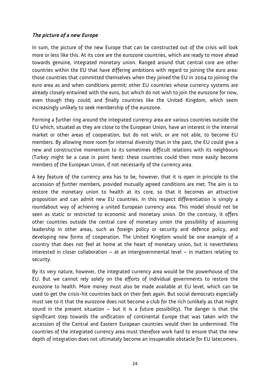#### **The picture of a new Europe**

In sum, the picture of the new Europe that can be constructed out of the crisis will look more or less like this. At its core are the eurozone countries, which are ready to move ahead towards genuine, integrated monetary union. Ranged around that central core are other countries within the EU that have differing ambitions with regard to joining the euro area: those countries that committed themselves when they joined the EU in 2004 to joining the euro area as and when conditions permit; other EU countries whose currency systems are already closely entwined with the euro, but which do not wish to join the eurozone for now, even though they could; and finally countries like the United Kingdom, which seem increasingly unlikely to seek membership of the eurozone.

Forming a further ring around the integrated currency area are various countries outside the EU which, situated as they are close to the European Union, have an interest in the internal market or other areas of cooperation, but do not wish, or are not able, to become EU members. By allowing more room for internal diversity than in the past, the EU could give a new and constructive momentum to its sometimes difficult relations with its neighbours (Turkey might be a case in point here): these countries could then more easily become members of the European Union, if not necessarily of the currency area.

A key feature of the currency area has to be, however, that it is open in principle to the accession of further members, provided mutually agreed conditions are met. The aim is to restore the monetary union to health at its core, so that it becomes an attractive proposition and can admit new EU countries. In this respect differentiation is simply a roundabout way of achieving a united European currency area. This model should not be seen as static or restricted to economic and monetary union. On the contrary, it offers other countries outside the central core of monetary union the possibility of assuming leadership in other areas, such as foreign policy or security and defence policy, and developing new forms of cooperation. The United Kingdom would be one example of a country that does not feel at home at the heart of monetary union, but is nevertheless interested in closer collaboration – at an intergovernmental level – in matters relating to security.

By its very nature, however, the integrated currency area would be the powerhouse of the EU. But we cannot rely solely on the efforts of individual governments to restore the eurozone to health. More money must also be made available at EU level, which can be used to get the crisis-hit countries back on their feet again. But social democrats especially must see to it that the eurozone does not become a club for the rich (unlikely as that might sound in the present situation  $-$  but it is a future possibility). The danger is that the significant step towards the unification of continental Europe that was taken with the accession of the Central and Eastern European countries would then be undermined. The countries of the integrated currency area must therefore work hard to ensure that the new depth of integration does not ultimately become an insuperable obstacle for EU latecomers.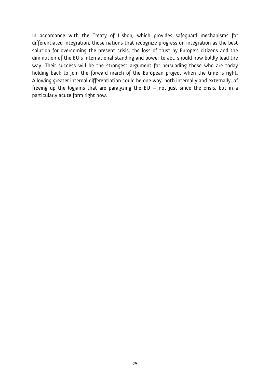In accordance with the Treaty of Lisbon, which provides safeguard mechanisms for differentiated integration, those nations that recognize progress on integration as the best solution for overcoming the present crisis, the loss of trust by Europe's citizens and the diminution of the EU's international standing and power to act, should now boldly lead the way. Their success will be the strongest argument for persuading those who are today holding back to join the forward march of the European project when the time is right. Allowing greater internal differentiation could be one way, both internally and externally, of freeing up the logjams that are paralyzing the EU  $-$  not just since the crisis, but in a particularly acute form right now.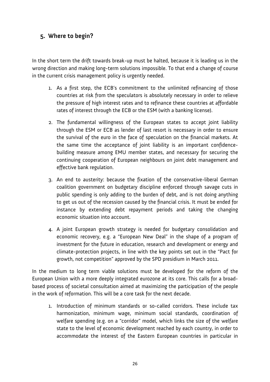# **5. Where to begin?**

In the short term the drift towards break-up must be halted, because it is leading us in the wrong direction and making long-term solutions impossible. To that end a change of course in the current crisis management policy is urgently needed.

- 1. As a first step, the ECB's commitment to the unlimited refinancing of those countries at risk from the speculators is absolutely necessary in order to relieve the pressure of high interest rates and to refinance these countries at affordable rates of interest through the ECB or the ESM (with a banking license).
- 2. The fundamental willingness of the European states to accept joint liability through the ESM or ECB as lender of last resort is necessary in order to ensure the survival of the euro in the face of speculation on the financial markets. At the same time the acceptance of joint liability is an important confidencebuilding measure among EMU member states, and necessary for securing the continuing cooperation of European neighbours on joint debt management and effective bank regulation.
- 3. An end to austerity: because the fixation of the conservative-liberal German coalition government on budgetary discipline enforced through savage cuts in public spending is only adding to the burden of debt, and is not doing anything to get us out of the recession caused by the financial crisis. It must be ended for instance by extending debt repayment periods and taking the changing economic situation into account.
- 4. A joint European growth strategy is needed for budgetary consolidation and economic recovery, e.g. a "European New Deal" in the shape of a program of investment for the future in education, research and development or energy and climate-protection projects, in line with the key points set out in the "Pact for growth, not competition" approved by the SPD presidium in March 2011.

In the medium to long term viable solutions must be developed for the reform of the European Union with a more deeply integrated eurozone at its core. This calls for a broadbased process of societal consultation aimed at maximizing the participation of the people in the work of reformation. This will be a core task for the next decade.

1. Introduction of minimum standards or so-called corridors. These include tax harmonization, minimum wage, minimum social standards, coordination of welfare spending (e.g. on a "corridor" model, which links the size of the welfare state to the level of economic development reached by each country, in order to accommodate the interest of the Eastern European countries in particular in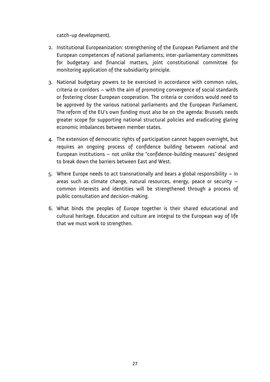catch-up development).

- 2. Institutional Europeanization: strengthening of the European Parliament and the European competences of national parliaments; inter-parliamentary committees for budgetary and financial matters, joint constitutional committee for monitoring application of the subsidiarity principle.
- 3. National budgetary powers to be exercised in accordance with common rules, criteria or corridors – with the aim of promoting convergence of social standards or fostering closer European cooperation. The criteria or corridors would need to be approved by the various national parliaments and the European Parliament. The reform of the EU's own funding must also be on the agenda: Brussels needs greater scope for supporting national structural policies and eradicating glaring economic imbalances between member states.
- 4. The extension of democratic rights of participation cannot happen overnight, but requires an ongoing process of confidence building between national and European institutions – not unlike the "confidence-building measures" designed to break down the barriers between East and West.
- 5. Where Europe needs to act transnationally and bears a global responsibility in areas such as climate change, natural resources, energy, peace or security – common interests and identities will be strengthened through a process of public consultation and decision-making.
- 6. What binds the peoples of Europe together is their shared educational and cultural heritage. Education and culture are integral to the European way of life that we must work to strengthen.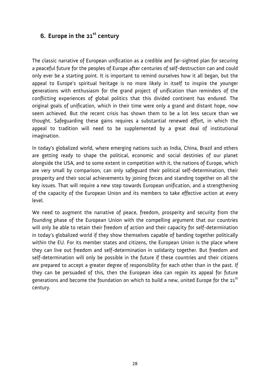# **6. Europe in the 21st century**

The classic narrative of European unification as a credible and far-sighted plan for securing a peaceful future for the peoples of Europe after centuries of self-destruction can and could only ever be a starting point. It is important to remind ourselves how it all began, but the appeal to Europe's spiritual heritage is no more likely in itself to inspire the younger generations with enthusiasm for the grand project of unification than reminders of the conflicting experiences of global politics that this divided continent has endured. The original goals of unification, which in their time were only a grand and distant hope, now seem achieved. But the recent crisis has shown them to be a lot less secure than we thought. Safeguarding these gains requires a substantial renewed effort, in which the appeal to tradition will need to be supplemented by a great deal of institutional imagination.

In today's globalized world, where emerging nations such as India, China, Brazil and others are getting ready to shape the political, economic and social destinies of our planet alongside the USA, and to some extent in competition with it, the nations of Europe, which are very small by comparison, can only safeguard their political self-determination, their prosperity and their social achievements by joining forces and standing together on all the key issues. That will require a new step towards European unification, and a strengthening of the capacity of the European Union and its members to take effective action at every level.

We need to augment the narrative of peace, freedom, prosperity and security from the founding phase of the European Union with the compelling argument that our countries will only be able to retain their freedom of action and their capacity for self-determination in today's globalized world if they show themselves capable of banding together politically within the EU. For its member states and citizens, the European Union is the place where they can live out freedom and self-determination in solidarity together. But freedom and self-determination will only be possible in the future if these countries and their citizens are prepared to accept a greater degree of responsibility for each other than in the past. If they can be persuaded of this, then the European idea can regain its appeal for future generations and become the foundation on which to build a new, united Europe for the 21<sup>st</sup> century.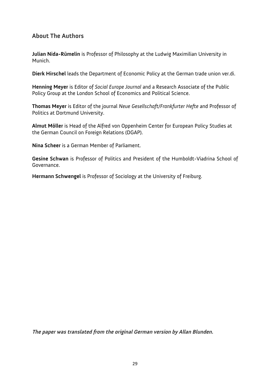# **About The Authors**

**Julian Nida-Rümelin** is Professor of Philosophy at the Ludwig Maximilian University in Munich.

**Dierk Hirschel** leads the Department of Economic Policy at the German trade union ver.di.

**Henning Meyer** is Editor of *Social Europe Journal* and a Research Associate of the Public Policy Group at the London School of Economics and Political Science.

**Thomas Meyer** is Editor of the journal *Neue Gesellschaft/Frankfurter Hefte* and Professor of Politics at Dortmund University.

**Almut Möller** is Head of the Alfred von Oppenheim Center for European Policy Studies at the German Council on Foreign Relations (DGAP).

**Nina Scheer** is a German Member of Parliament.

**Gesine Schwan** is Professor of Politics and President of the Humboldt-Viadrina School of Governance.

**Hermann Schwengel** is Professor of Sociology at the University of Freiburg.

**The paper was translated from the original German version by Allan Blunden.**